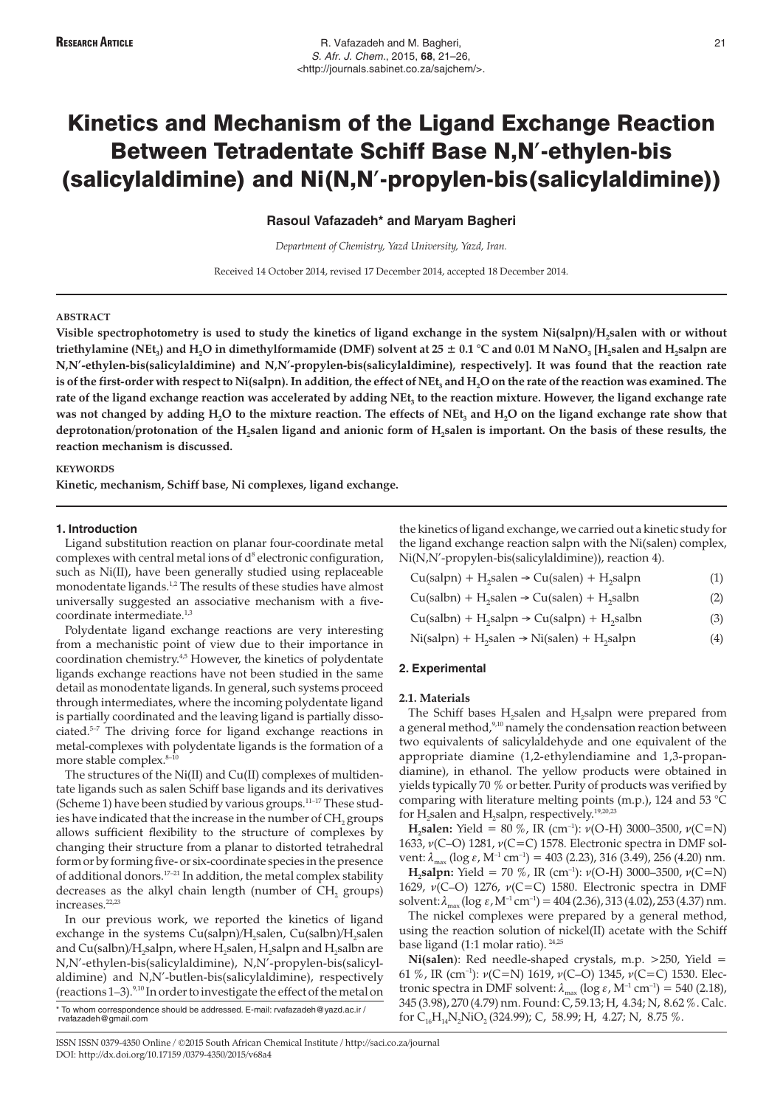**Rasoul Vafazadeh\* and Maryam Bagheri**

*Department of Chemistry, Yazd University, Yazd, Iran.*

Received 14 October 2014, revised 17 December 2014, accepted 18 December 2014.

#### **ABSTRACT**

Visible spectrophotometry is used to study the kinetics of ligand exchange in the system Ni(salpn)/H<sub>2</sub>salen with or without **triethylamine (NEt<sub>3</sub>) and H<sub>2</sub>O in dimethylformamide (DMF) solvent at 25**  $\pm$  **0.1 °C and 0.01 M NaNO<sub>3</sub> [H<sub>2</sub>salen and H<sub>2</sub>salpn are N,N'-ethylen-bis(salicylaldimine) and N,N'-propylen-bis(salicylaldimine), respectively]. It was found that the reaction rate** is of the first-order with respect to Ni(salpn). In addition, the effect of NEt<sub>3</sub> and H<sub>2</sub>O on the rate of the reaction was examined. The rate of the ligand exchange reaction was accelerated by adding NEt<sub>3</sub> to the reaction mixture. However, the ligand exchange rate was not changed by adding H<sub>2</sub>O to the mixture reaction. The effects of NEt<sub>3</sub> and H<sub>2</sub>O on the ligand exchange rate show that deprotonation/protonation of the H<sub>2</sub>salen ligand and anionic form of H<sub>2</sub>salen is important. On the basis of these results, the **reaction mechanism is discussed.**

## **KEYWORDS**

**Kinetic, mechanism, Schiff base, Ni complexes, ligand exchange.**

#### **1. Introduction**

Ligand substitution reaction on planar four-coordinate metal complexes with central metal ions of  $d^8$  electronic configuration, such as Ni(II), have been generally studied using replaceable monodentate ligands.<sup>1,2</sup> The results of these studies have almost universally suggested an associative mechanism with a fivecoordinate intermediate.<sup>1,3</sup>

Polydentate ligand exchange reactions are very interesting from a mechanistic point of view due to their importance in coordination chemistry.4,5 However, the kinetics of polydentate ligands exchange reactions have not been studied in the same detail as monodentate ligands. In general, such systems proceed through intermediates, where the incoming polydentate ligand is partially coordinated and the leaving ligand is partially dissociated.5–7 The driving force for ligand exchange reactions in metal-complexes with polydentate ligands is the formation of a more stable complex.<sup>8-10</sup>

The structures of the Ni(II) and Cu(II) complexes of multidentate ligands such as salen Schiff base ligands and its derivatives (Scheme 1) have been studied by various groups.<sup>11–17</sup> These studies have indicated that the increase in the number of CH<sub>2</sub> groups allows sufficient flexibility to the structure of complexes by changing their structure from a planar to distorted tetrahedral form or by forming five- or six-coordinate species in the presence of additional donors.17–21 In addition, the metal complex stability decreases as the alkyl chain length (number of  $CH<sub>2</sub>$  groups) increases.<sup>22,23</sup>

In our previous work, we reported the kinetics of ligand exchange in the systems Cu(salpn)/H<sub>2</sub>salen, Cu(salbn)/H<sub>2</sub>salen and Cu(salbn)/H<sub>2</sub>salpn, where H<sub>2</sub>salen, H<sub>2</sub>salpn and H<sub>2</sub>salbn are N,N'-ethylen-bis(salicylaldimine), N,N'-propylen-bis(salicylaldimine) and N,N'-butlen-bis(salicylaldimine), respectively (reactions  $1-3$ ).<sup>9,10</sup> In order to investigate the effect of the metal on

\* To whom correspondence should be addressed. E-mail: rvafazadeh@yazd.ac.ir / rvafazadeh@gmail.com

the kinetics of ligand exchange, we carried out a kinetic study for the ligand exchange reaction salpn with the Ni(salen) complex, Ni(N,N'-propylen-bis(salicylaldimine)), reaction 4).

| $Cu(salpn) + H2slen \rightarrow Cu(salen) + H2slpn$     | (1) |
|---------------------------------------------------------|-----|
| $Cu(salbn) + H2 salen \rightarrow Cu(salen) + H2 salbn$ | (2) |
| $Cu(salbn) + H2 salpn \rightarrow Cu(salpn) + H2 salbn$ | (3) |

Cu(salpn) + H<sub>2</sub>salpn  $\rightarrow$  Cu(salpn) + H<sub>2</sub>salpn (3)<br>Ni(salpn) + H<sub>2</sub>salen  $\rightarrow$  Ni(salen) + H<sub>2</sub>salpn (4)

## **2. Experimental**

### **2.1. Materials**

The Schiff bases H<sub>2</sub>salen and H<sub>2</sub>salpn were prepared from a general method,<sup>9,10</sup> namely the condensation reaction between two equivalents of salicylaldehyde and one equivalent of the appropriate diamine (1,2-ethylendiamine and 1,3-propandiamine), in ethanol. The yellow products were obtained in yields typically 70 % or better. Purity of products was verified by comparing with literature melting points (m.p.), 124 and 53 °C for  $H_2$ salen and  $H_2$ salpn, respectively.<sup>19,20,23</sup>

**H<sub>2</sub>salen:** Yield = 80 %, IR (cm<sup>-1</sup>):  $\nu$ (O-H) 3000-3500,  $\nu$ (C=N) 1633,  $\nu(C-O)$  1281,  $\nu(C=C)$  1578. Electronic spectra in DMF solvent:  $\lambda_{\text{max}}$  (log  $\varepsilon$ , M<sup>-1</sup> cm<sup>-1</sup>) = 403 (2.23), 316 (3.49), 256 (4.20) nm.

**H**,salpn: Yield = 70 %, IR (cm<sup>-1</sup>):  $\nu$ (O-H) 3000–3500,  $\nu$ (C=N) 1629,  $v(C-O)$  1276,  $v(C=C)$  1580. Electronic spectra in DMF solvent:  $\lambda_{\text{max}}$  (log  $\varepsilon$ , M<sup>-1</sup> cm<sup>-1</sup>) = 404 (2.36), 313 (4.02), 253 (4.37) nm.

The nickel complexes were prepared by a general method, using the reaction solution of nickel(II) acetate with the Schiff base ligand (1:1 molar ratio).  $24,25$ 

**Ni(salen**): Red needle-shaped crystals, m.p. >250, Yield = 61 %, IR (cm<sup>-1</sup>):  $\nu(C=N)$  1619,  $\nu(C-O)$  1345,  $\nu(C=C)$  1530. Electronic spectra in DMF solvent:  $\lambda_{\text{max}}$  (log  $\varepsilon$ , M<sup>-1</sup> cm<sup>-1</sup>) = 540 (2.18), 345 (3.98), 270 (4.79) nm. Found: C, 59.13; H, 4.34; N, 8.62 %. Calc. for  $C_{16}H_{14}N_2NiO$ , (324.99); C, 58.99; H, 4.27; N, 8.75 %.

ISSN ISSN 0379-4350 Online / ©2015 South African Chemical Institute / http://saci.co.za/journal DOI: http://dx.doi.org/10.17159 /0379-4350/2015/v68a4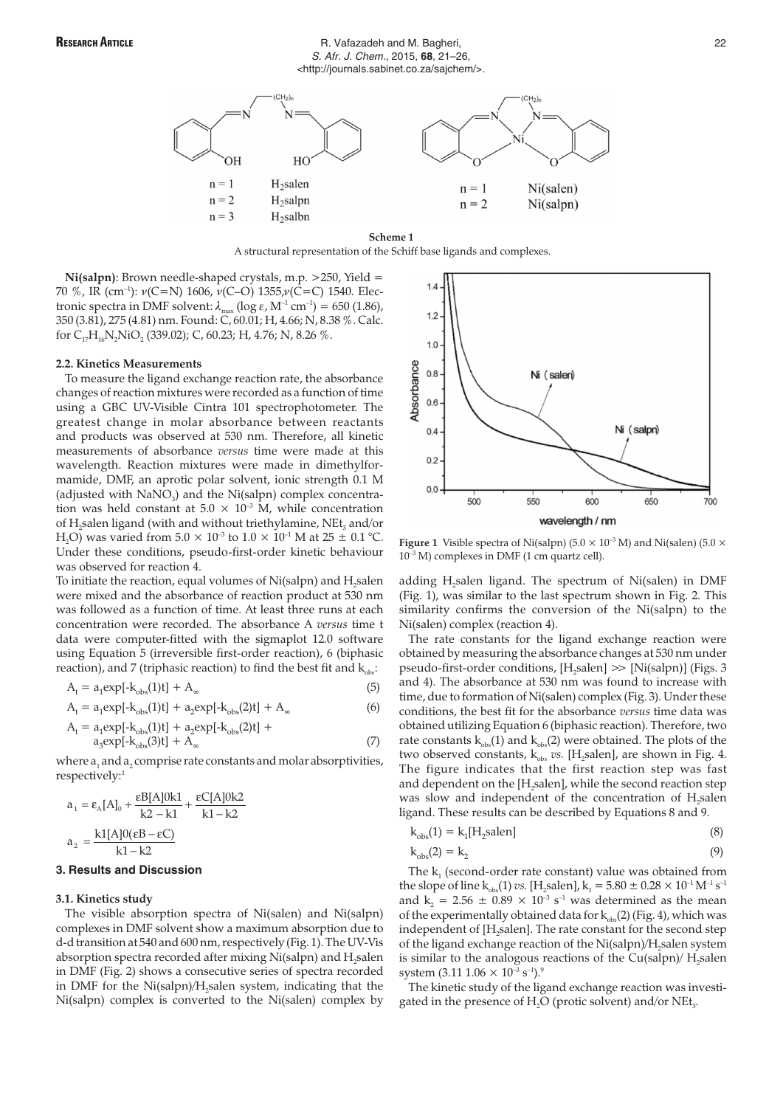## RESEARCH ARTICLE **RESEARCH ARTICLE R. Vafazadeh and M. Bagheri,** 22 S. Afr. J. Chem., 2015, **68**, 21–26, <http://journals.sabinet.co.za/sajchem/>.



A structural representation of the Schiff base ligands and complexes.

**Ni(salpn)**: Brown needle-shaped crystals, m.p. >250, Yield = 70 %, IR (cm<sup>-1</sup>):  $\nu(C=N)$  1606,  $\nu(C-O)$  1355, $\nu(C=C)$  1540. Electronic spectra in DMF solvent:  $\lambda_{\text{max}}$  (log  $\varepsilon$ , M<sup>-1</sup> cm<sup>-1</sup>) = 650 (1.86), 350 (3.81), 275 (4.81) nm. Found: C, 60.01; H, 4.66; N, 8.38 %. Calc. for  $C_{17}H_{16}N_2NiO_2$  (339.02); C, 60.23; H, 4.76; N, 8.26 %.

#### **2.2. Kinetics Measurements**

To measure the ligand exchange reaction rate, the absorbance changes of reaction mixtures were recorded as a function of time using a GBC UV-Visible Cintra 101 spectrophotometer. The greatest change in molar absorbance between reactants and products was observed at 530 nm. Therefore, all kinetic measurements of absorbance *versus* time were made at this wavelength. Reaction mixtures were made in dimethylformamide, DMF, an aprotic polar solvent, ionic strength 0.1 M (adjusted with  $NaNO<sub>3</sub>$ ) and the Ni(salpn) complex concentration was held constant at  $5.0 \times 10^{-3}$  M, while concentration of H<sub>2</sub>salen ligand (with and without triethylamine, NEt<sub>3</sub> and/or H<sub>2</sub>O) was varied from  $5.0 \times 10^{-3}$  to  $1.0 \times 10^{-1}$  M at  $25 \pm 0.1$  °C. Under these conditions, pseudo-first-order kinetic behaviour was observed for reaction 4.

To initiate the reaction, equal volumes of Ni(salpn) and H<sub>2</sub>salen were mixed and the absorbance of reaction product at 530 nm was followed as a function of time. At least three runs at each concentration were recorded. The absorbance A *versus* time t data were computer-fitted with the sigmaplot 12.0 software using Equation 5 (irreversible first-order reaction), 6 (biphasic reaction), and 7 (triphasic reaction) to find the best fit and  $k_{obs}$ :

$$
A_t = a_1 \exp[-k_{obs}(1)t] + A_\infty \tag{5}
$$

$$
A_{t} = a_{1} \exp[-k_{obs}(1)t] + a_{2} \exp[-k_{obs}(2)t] + A_{\infty}
$$
 (6)

$$
A_{t} = a_{1}exp[-k_{obs}(1)t] + a_{2}exp[-k_{obs}(2)t] + a_{3}exp[-k_{obs}(3)t] + A_{\infty}
$$
\n(7)

where  $a_1$  and  $a_2$  comprise rate constants and molar absorptivities, respectively:<sup>1</sup>

$$
a_1 = \varepsilon_A [A]_0 + \frac{\varepsilon B[A] 0k1}{k2 - k1} + \frac{\varepsilon C[A] 0k2}{k1 - k2}
$$

$$
a_2 = \frac{k1[A] 0(\varepsilon B - \varepsilon C)}{k1 - k2}
$$

## **3. Results and Discussion**

### **3.1. Kinetics study**

The visible absorption spectra of Ni(salen) and Ni(salpn) complexes in DMF solvent show a maximum absorption due to d-d transition at 540 and 600 nm, respectively (Fig. 1). The UV-Vis absorption spectra recorded after mixing Ni(salpn) and H<sub>2</sub>salen in DMF (Fig. 2) shows a consecutive series of spectra recorded in DMF for the Ni(salpn)/H<sub>2</sub>salen system, indicating that the Ni(salpn) complex is converted to the Ni(salen) complex by



**Figure 1** Visible spectra of Ni(salpn)  $(5.0 \times 10^{-3} \text{ M})$  and Ni(salen)  $(5.0 \times 10^{-3} \text{ M})$  $10^{-3}$  M) complexes in DMF (1 cm quartz cell).

adding H<sub>2</sub>salen ligand. The spectrum of Ni(salen) in DMF (Fig. 1), was similar to the last spectrum shown in Fig. 2. This similarity confirms the conversion of the Ni(salpn) to the Ni(salen) complex (reaction 4).

The rate constants for the ligand exchange reaction were obtained by measuring the absorbance changes at 530 nm under pseudo-first-order conditions,  $[H$ <sub>salen</sub> $]$   $>$   $[Ni(salpn)]$  (Figs. 3) and 4). The absorbance at 530 nm was found to increase with time, due to formation of Ni(salen) complex (Fig. 3). Under these conditions, the best fit for the absorbance *versus* time data was obtained utilizing Equation 6 (biphasic reaction). Therefore, two rate constants  $k_{obs}(1)$  and  $k_{obs}(2)$  were obtained. The plots of the two observed constants,  $k_{obs}$  *vs.* [H<sub>2</sub>salen], are shown in Fig. 4. The figure indicates that the first reaction step was fast and dependent on the [H<sub>2</sub>salen], while the second reaction step was slow and independent of the concentration of H<sub>2</sub>salen ligand. These results can be described by Equations 8 and 9.

$$
k_{obs}(1) = k_1[H_2 \text{salen}]
$$
\n(8)

$$
k_{obs}(2) = k_2 \tag{9}
$$

The  $k_1$  (second-order rate constant) value was obtained from the slope of line k<sub>obs</sub>(1) *vs.* [H<sub>2</sub>salen], k<sub>1</sub> = 5.80  $\pm$  0.28  $\times$  10<sup>-1</sup> M<sup>-1</sup> s<sup>-1</sup> and  $k_2 = 2.56 \pm 0.89 \times 10^{-3} \text{ s}^{-1}$  was determined as the mean of the experimentally obtained data for  $k_{obs}(2)$  (Fig. 4), which was independent of [H<sub>2</sub>salen]. The rate constant for the second step of the ligand exchange reaction of the Ni(salpn)/H<sub>2</sub>salen system is similar to the analogous reactions of the  $Cu(salpn)/H$ , salen system  $(3.11\,1.06\times10^{-3}\,\rm s^{-1})$ .<sup>9</sup>

The kinetic study of the ligand exchange reaction was investigated in the presence of  $H<sub>2</sub>O$  (protic solvent) and/or NEt<sub>3</sub>.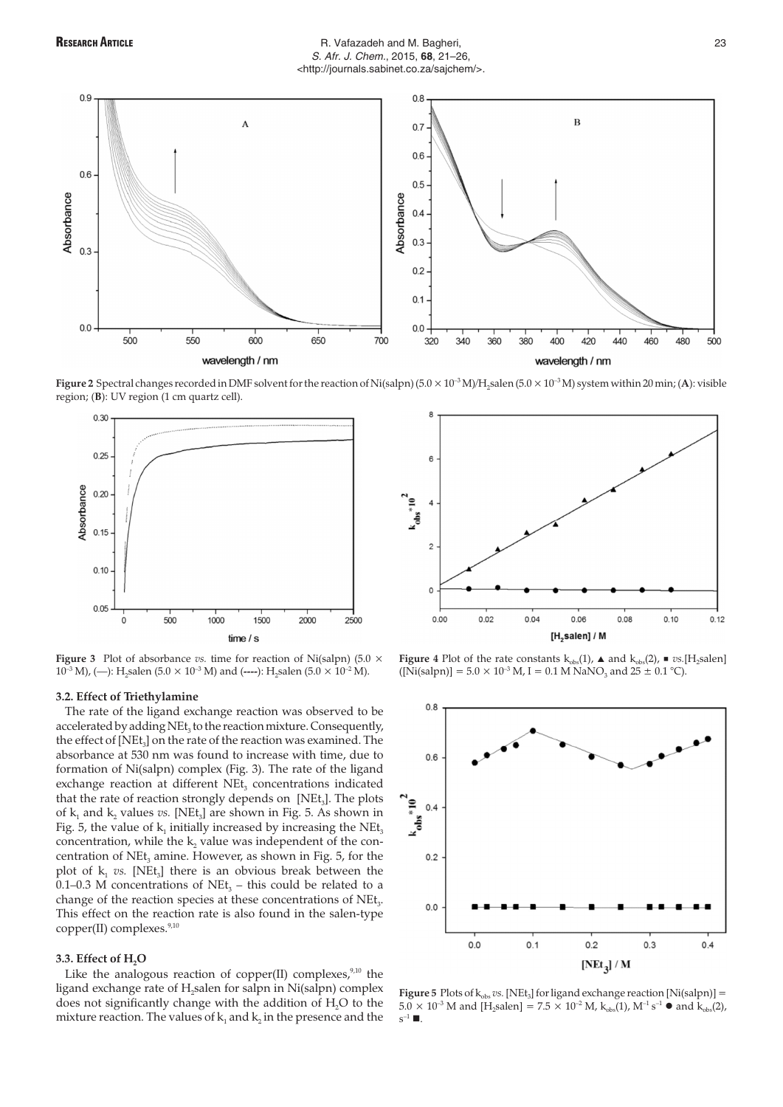## RESEARCH ARTICLE **RESEARCH ARTICLE** 23 S. Afr. J. Chem., 2015, **68**, 21–26, <http://journals.sabinet.co.za/sajchem/>.



**Figure 2** Spectral changes recorded in DMF solvent for the reaction of Ni(salpn)  $(5.0 \times 10^{-3} \text{M})/H$ , salen  $(5.0 \times 10^{-3} \text{M})$  system within 20 min; (A): visible region; (**B**): UV region (1 cm quartz cell).



**Figure 3** Plot of absorbance *vs.* time for reaction of Ni(salpn) (5.0  $\times$  $10^{-3}$  M), (--): H<sub>2</sub>salen (5.0 × 10<sup>-3</sup> M) and (----): H<sub>2</sub>salen (5.0 × 10<sup>-2</sup> M).

## **3.2. Effect of Triethylamine**

The rate of the ligand exchange reaction was observed to be accelerated by adding NEt<sub>3</sub> to the reaction mixture. Consequently, the effect of  $[NEt_3]$  on the rate of the reaction was examined. The absorbance at 530 nm was found to increase with time, due to formation of Ni(salpn) complex (Fig. 3). The rate of the ligand exchange reaction at different NEt<sub>3</sub> concentrations indicated that the rate of reaction strongly depends on  $[Net_3]$ . The plots of  $k_1$  and  $k_2$  values *vs.* [NEt<sub>3</sub>] are shown in Fig. 5. As shown in Fig. 5, the value of  $k_1$  initially increased by increasing the NEt<sub>3</sub> concentration, while the  $k_2$  value was independent of the concentration of  $NEt_3$  amine. However, as shown in Fig. 5, for the plot of  $k_1$  *vs.* [NEt<sub>3</sub>] there is an obvious break between the 0.1–0.3 M concentrations of NEt<sub>3</sub> – this could be related to a change of the reaction species at these concentrations of NEt<sub>2</sub>. This effect on the reaction rate is also found in the salen-type copper(II) complexes.<sup>9,10</sup>

## **3.3. Effect of H2O**

Like the analogous reaction of copper(II) complexes, $9,10$  the ligand exchange rate of H<sub>2</sub>salen for salpn in Ni(salpn) complex does not significantly change with the addition of H<sub>2</sub>O to the mixture reaction. The values of  $k_1$  and  $k_2$  in the presence and the



**Figure 4** Plot of the rate constants  $k_{obs}(1)$ ,  $\triangle$  and  $k_{obs}(2)$ ,  $\triangle$   $vs.[H_2\text{salen}]$  $([Ni(salpn)] = 5.0 \times 10^{-3}$  M, I = 0.1 M NaNO<sub>3</sub> and 25  $\pm$  0.1 °C).



**Figure 5** Plots of  $k_{obs}$  vs. [NEt<sub>3</sub>] for ligand exchange reaction [Ni(salpn)] =  $5.0 \times 10^{-3}$  M and [H<sub>2</sub>salen] =  $7.5 \times 10^{-2}$  M,  $k_{obs}(1)$ , M<sup>-1</sup> s<sup>-1</sup> • and  $k_{obs}(2)$ ,  $s^{-1} \blacksquare$ .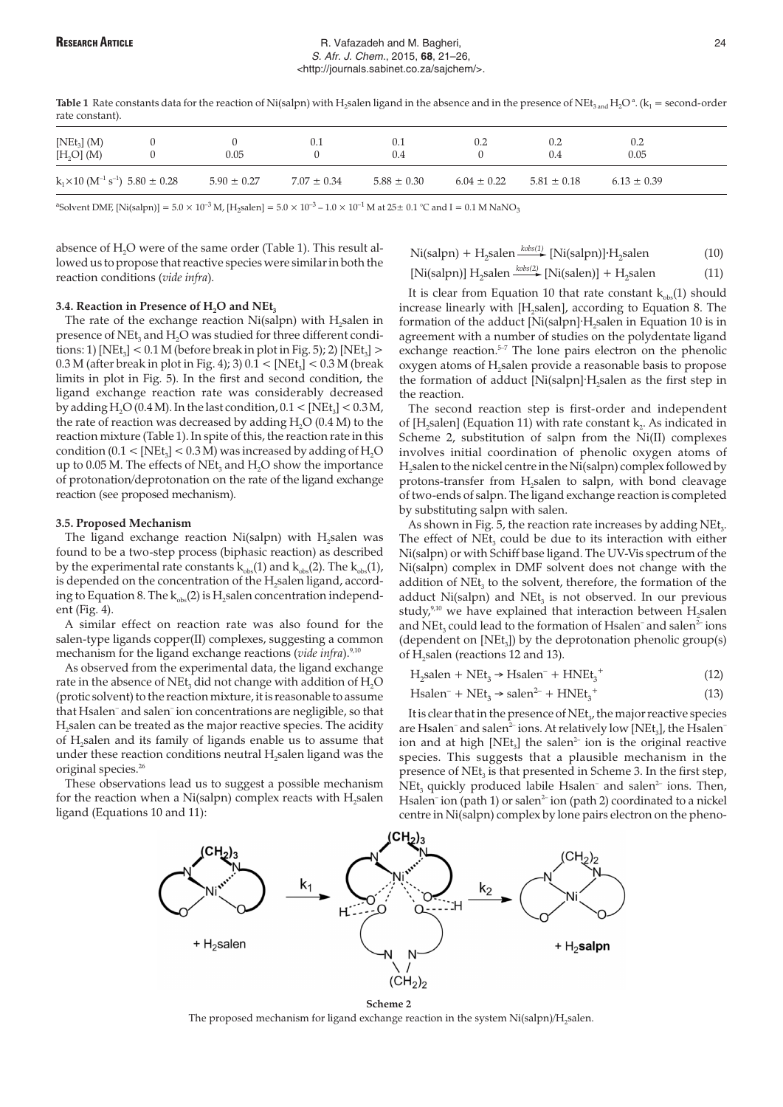## RESEARCH ARTICLE **RESEARCH ARTICLE** 24 S. Afr. J. Chem., 2015, **68**, 21–26, <http://journals.sabinet.co.za/sajchem/>.

Table 1 Rate constants data for the reaction of Ni(salpn) with H<sub>2</sub>salen ligand in the absence and in the presence of NEt<sub>3 and</sub> H<sub>2</sub>O<sup>a</sup>. (k<sub>1</sub> = second-order rate constant).

| $[NEt_3]$ (M)<br>[H <sub>2</sub> O] (M)                            | 0.05            | U.I             | U.I<br>0.4      | 0.2             | 0.2<br>0.4      | 0.2<br>0.05     |  |
|--------------------------------------------------------------------|-----------------|-----------------|-----------------|-----------------|-----------------|-----------------|--|
| $k_1 \times 10$ (M <sup>-1</sup> s <sup>-1</sup> ) 5.80 $\pm$ 0.28 | $5.90 \pm 0.27$ | $7.07 \pm 0.34$ | $5.88 \pm 0.30$ | $6.04 \pm 0.22$ | $5.81 \pm 0.18$ | $6.13 \pm 0.39$ |  |

<sup>a</sup>Solvent DMF, [Ni(salpn)] = 5.0 × 10<sup>-3</sup> M, [H<sub>2</sub>salen] = 5.0 × 10<sup>-3</sup> – 1.0 × 10<sup>-1</sup> M at 25± 0.1 °C and I = 0.1 M NaNO<sub>3</sub>

absence of  $H_2O$  were of the same order (Table 1). This result allowed us to propose that reactive species were similar in both the reaction conditions (*vide infra*).

$$
\text{Ni(salpn)} + \text{H}_2 \text{salen} \xrightarrow{\text{kobs}(1)} [\text{Ni(salpn)}] \cdot \text{H}_2 \text{salen}
$$
 (10)

 $[Ni(salpn)] H<sub>2</sub> salen \xrightarrow{kobs(2)} [Ni(salen)] + H<sub>2</sub> salen$  (11)

### 3.4. Reaction in Presence of H<sub>2</sub>O and NEt<sub>3</sub>

The rate of the exchange reaction Ni(salpn) with H<sub>2</sub>salen in presence of NE $t_3$  and H<sub>2</sub>O was studied for three different conditions: 1) [NEt<sub>3</sub>] <  $0.1 M$  (before break in plot in Fig. 5); 2) [NEt<sub>3</sub>] >  $0.3$  M (after break in plot in Fig. 4); 3)  $0.1 <$  [NEt<sub>3</sub>] <  $0.3$  M (break limits in plot in Fig. 5). In the first and second condition, the ligand exchange reaction rate was considerably decreased by adding  $H<sub>2</sub>O$  (0.4 M). In the last condition, 0.1 < [NEt<sub>3</sub>] < 0.3 M, the rate of reaction was decreased by adding  $H_2O$  (0.4 M) to the reaction mixture (Table 1). In spite of this, the reaction rate in this condition ( $0.1 <$  [NEt<sub>3</sub>] <  $0.3 M$ ) was increased by adding of H<sub>2</sub>O up to 0.05 M. The effects of NEt<sub>3</sub> and  $H_2O$  show the importance of protonation/deprotonation on the rate of the ligand exchange reaction (see proposed mechanism).

## **3.5. Proposed Mechanism**

The ligand exchange reaction  $Ni(salpn)$  with  $H<sub>2</sub>$ salen was found to be a two-step process (biphasic reaction) as described by the experimental rate constants  $k_{obs}(1)$  and  $k_{obs}(2)$ . The  $k_{obs}(1)$ , is depended on the concentration of the H<sub>2</sub>salen ligand, according to Equation 8. The  $k_{obs}(2)$  is H<sub>2</sub>salen concentration independent (Fig. 4).

A similar effect on reaction rate was also found for the salen-type ligands copper(II) complexes, suggesting a common mechanism for the ligand exchange reactions (*vide infra*).<sup>9,10</sup>

As observed from the experimental data, the ligand exchange rate in the absence of  $NEt<sub>3</sub>$  did not change with addition of  $H<sub>2</sub>O$ (protic solvent) to the reaction mixture, it is reasonable to assume that Hsalen– and salen– ion concentrations are negligible, so that H<sub>2</sub>salen can be treated as the major reactive species. The acidity of H<sub>2</sub>salen and its family of ligands enable us to assume that under these reaction conditions neutral H<sub>2</sub>salen ligand was the original species.<sup>26</sup>

These observations lead us to suggest a possible mechanism for the reaction when a Ni(salpn) complex reacts with  $H<sub>2</sub>$ salen ligand (Equations 10 and 11):

It is clear from Equation 10 that rate constant 
$$
k_{obs}(1)
$$
 should increase linearly with [H<sub>2</sub>salen], according to Equation 8. The formation of the adduct [Ni(salpn]·H<sub>2</sub>salen in Equation 10 is in agreement with a number of studies on the polydentate ligand exchange reaction.<sup>5-7</sup> The lone pairs electron on the phenolic oxygen atoms of H<sub>2</sub>salen provide a reasonable basis to propose the formation of adduct [Ni(salpn]·H<sub>2</sub>salen as the first step in the reaction.

The second reaction step is first-order and independent of [H<sub>2</sub>salen] (Equation 11) with rate constant  $k_2$ . As indicated in Scheme 2, substitution of salpn from the Ni(II) complexes involves initial coordination of phenolic oxygen atoms of H<sub>2</sub>salen to the nickel centre in the Ni(salpn) complex followed by protons-transfer from H<sub>2</sub>salen to salpn, with bond cleavage of two-ends of salpn. The ligand exchange reaction is completed by substituting salpn with salen.

As shown in Fig.  $5$ , the reaction rate increases by adding NEt<sub>3</sub>. The effect of  $NEt_3$  could be due to its interaction with either Ni(salpn) or with Schiff base ligand. The UV-Vis spectrum of the Ni(salpn) complex in DMF solvent does not change with the addition of  $NEt_3$  to the solvent, therefore, the formation of the adduct Ni(salpn) and NE $t_3$  is not observed. In our previous study, $9,10$  we have explained that interaction between  $H_2$ salen and NEt<sub>3</sub> could lead to the formation of Hsalen<sup>-</sup> and salen<sup>2-</sup> ions (dependent on  $[NEt_3]$ ) by the deprotonation phenolic group(s) of H<sub>2</sub>salen (reactions 12 and 13).

$$
H_2 \text{salen} + \text{NEt}_3 \rightarrow \text{Hsalen}^- + \text{HNEt}_3^+ \tag{12}
$$

$$
Hsalen^- + NEt_3 \rightarrow salen^{2-} + HNEt_3^+
$$
 (13)

It is clear that in the presence of NEt<sub>y</sub> the major reactive species are Hsalen<sup>-</sup> and salen<sup>2-</sup> ions. At relatively low [NEt<sub>3</sub>], the Hsalen<sup>-</sup> ion and at high  $[NEt_3]$  the salen<sup>2-</sup> ion is the original reactive species. This suggests that a plausible mechanism in the presence of  $NEt_3$  is that presented in Scheme 3. In the first step, NEt<sub>3</sub> quickly produced labile Hsalen<sup>–</sup> and salen<sup>2–</sup> ions. Then, Hsalen<sup>-</sup> ion (path 1) or salen<sup>2-</sup> ion (path 2) coordinated to a nickel centre in Ni(salpn) complex by lone pairs electron on the pheno-



**Scheme 2**

The proposed mechanism for ligand exchange reaction in the system Ni(salpn)/H<sub>2</sub>salen.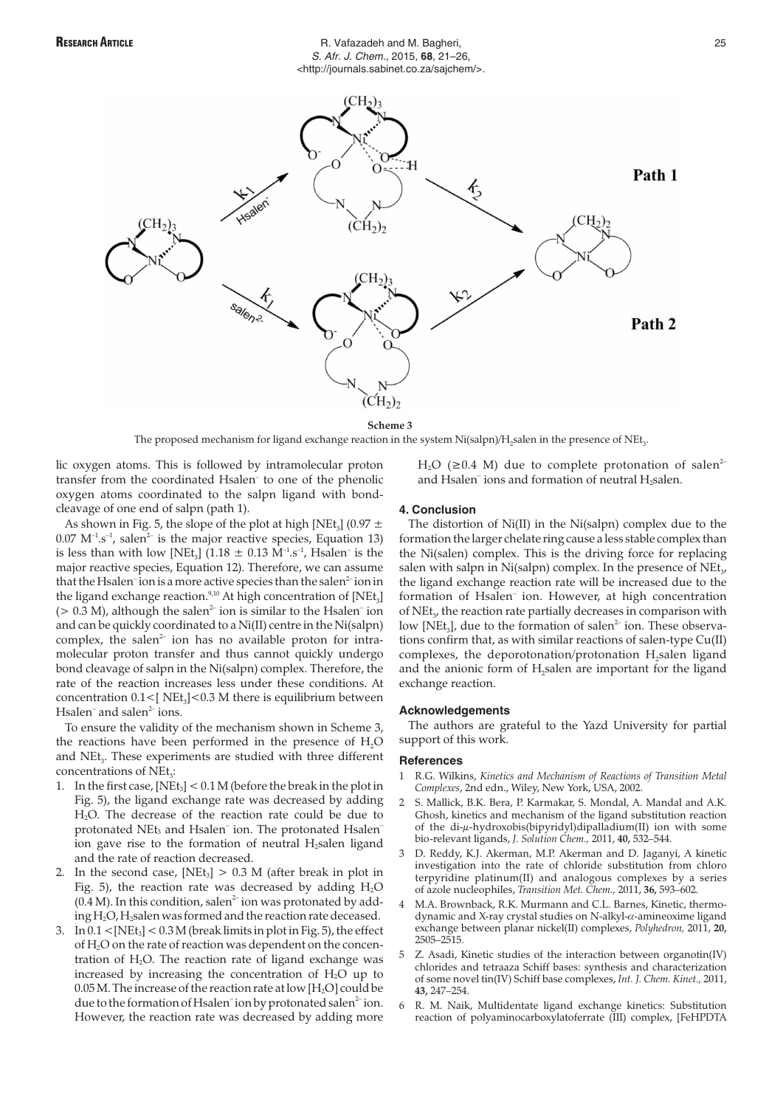

**Scheme 3**

The proposed mechanism for ligand exchange reaction in the system  $Ni(salpn)/H$ <sub>s</sub>salen in the presence of  $NEt<sub>3</sub>$ .

lic oxygen atoms. This is followed by intramolecular proton transfer from the coordinated Hsalen– to one of the phenolic oxygen atoms coordinated to the salpn ligand with bondcleavage of one end of salpn (path 1).

As shown in Fig. 5, the slope of the plot at high [NEt<sub>3</sub>] (0.97  $\pm$  $0.07 \text{ M}^{-1} \text{ s}^{-1}$ , salen<sup>2-</sup> is the major reactive species, Equation 13) is less than with low [NEt<sub>3</sub>] (1.18  $\pm$  0.13 M<sup>-1</sup>.s<sup>-1</sup>, Hsalen<sup>-</sup> is the major reactive species, Equation 12). Therefore, we can assume that the Hsalen<sup>-</sup>ion is a more active species than the salen<sup>2-</sup>ion in the ligand exchange reaction.<sup>9,10</sup> At high concentration of  $[NEt_3]$ ( $> 0.3$  M), although the salen<sup>2-</sup> ion is similar to the Hsalen<sup>-</sup> ion and can be quickly coordinated to a Ni(II) centre in the Ni(salpn) complex, the salen<sup>2-</sup> ion has no available proton for intramolecular proton transfer and thus cannot quickly undergo bond cleavage of salpn in the Ni(salpn) complex. Therefore, the rate of the reaction increases less under these conditions. At concentration  $0.1 <$ [ NEt<sub>3</sub>] <  $0.3$  M there is equilibrium between Hsalen<sup>-</sup> and salen<sup>2-</sup> ions.

To ensure the validity of the mechanism shown in Scheme 3, the reactions have been performed in the presence of  $H<sub>2</sub>O$ and NEt<sub>2</sub>. These experiments are studied with three different concentrations of NEt<sub>3</sub>:

- 1. In the first case,  $[NEt_3] < 0.1 M$  (before the break in the plot in Fig. 5), the ligand exchange rate was decreased by adding H2O. The decrease of the reaction rate could be due to protonated NEt<sub>3</sub> and Hsalen<sup>-</sup> ion. The protonated Hsalen<sup>-</sup> ion gave rise to the formation of neutral  $H<sub>2</sub>$ salen ligand and the rate of reaction decreased.
- 2. In the second case,  $[NEt_3] > 0.3$  M (after break in plot in Fig. 5), the reaction rate was decreased by adding  $H_2O$  $(0.4 M)$ . In this condition, salen<sup>2-</sup>ion was protonated by adding H<sub>2</sub>O, H<sub>2</sub>salen was formed and the reaction rate deceased.
- 3. In  $0.1 <$ [NEt<sub>3</sub>] <  $0.3 M$  (break limits in plot in Fig. 5), the effect of H2O on the rate of reaction was dependent on the concentration of  $H_2O$ . The reaction rate of ligand exchange was increased by increasing the concentration of  $H_2O$  up to  $0.05$  M. The increase of the reaction rate at low [H<sub>2</sub>O] could be due to the formation of Hsalen<sup>-</sup>ion by protonated salen<sup>2-</sup>ion. However, the reaction rate was decreased by adding more

 $H_2O$  ( $\geq 0.4$  M) due to complete protonation of salen<sup>2–</sup> and Hsalen<sup>-</sup> ions and formation of neutral H<sub>2</sub>salen.

# **4. Conclusion**

The distortion of Ni(II) in the Ni(salpn) complex due to the formation the larger chelate ring cause a less stable complex than the Ni(salen) complex. This is the driving force for replacing salen with salpn in Ni(salpn) complex. In the presence of  $NEt_{3}$ , the ligand exchange reaction rate will be increased due to the formation of Hsalen<sup>-</sup> ion. However, at high concentration of NEt<sub>3</sub>, the reaction rate partially decreases in comparison with low [NEt<sub>3</sub>], due to the formation of salen<sup>2-</sup> ion. These observations confirm that, as with similar reactions of salen-type Cu(II) complexes, the deporotonation/protonation H<sub>2</sub>salen ligand and the anionic form of H<sub>2</sub>salen are important for the ligand exchange reaction.

### **Acknowledgements**

The authors are grateful to the Yazd University for partial support of this work.

### **References**

- 1 R.G. Wilkins, *Kinetics and Mechanism of Reactions of Transition Metal Complexes*, 2nd edn., Wiley, New York, USA, 2002.
- 2 S. Mallick, B.K. Bera, P. Karmakar, S. Mondal, A. Mandal and A.K. Ghosh, kinetics and mechanism of the ligand substitution reaction of the di-µ-hydroxobis(bipyridyl)dipalladium(II) ion with some bio-relevant ligands, *J. Solution Chem.,* 2011, **40,** 532–544.
- 3 D. Reddy, K.J. Akerman, M.P. Akerman and D. Jaganyi, A kinetic investigation into the rate of chloride substitution from chloro terpyridine platinum(II) and analogous complexes by a series of azole nucleophiles, *Transition Met. Chem.,* 2011, **36,** 593–602.
- 4 M.A. Brownback, R.K. Murmann and C.L. Barnes, Kinetic, thermodynamic and X-ray crystal studies on N-alkyl- $\alpha$ -amineoxime ligand exchange between planar nickel(II) complexes, *Polyhedron,* 2011, **20,** 2505–2515.
- 5 Z. Asadi, Kinetic studies of the interaction between organotin(IV) chlorides and tetraaza Schiff bases: synthesis and characterization of some novel tin(IV) Schiff base complexes, *Int. J. Chem. Kinet.,* 2011, **43,** 247–254.
- 6 R. M. Naik, Multidentate ligand exchange kinetics: Substitution reaction of polyaminocarboxylatoferrate (III) complex, [FeHPDTA